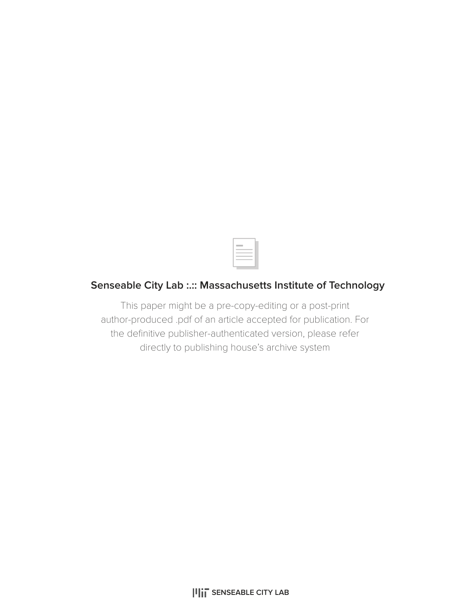

## **Senseable City Lab :.:: Massachusetts Institute of Technology**

This paper might be a pre-copy-editing or a post-print author-produced .pdf of an article accepted for publication. For the definitive publisher-authenticated version, please refer directly to publishing house's archive system

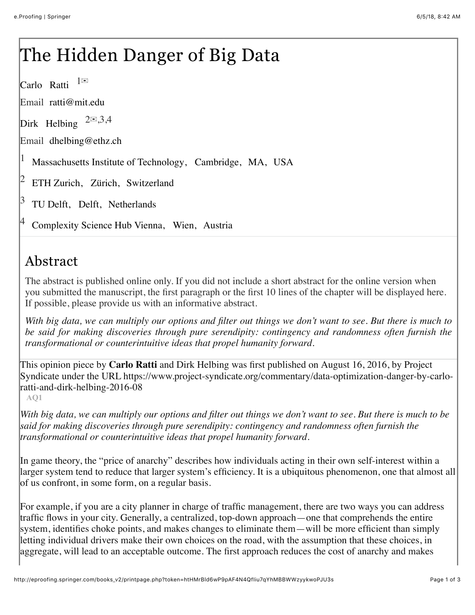## The Hidden Danger of Big Data

Carlo Ratti  $1^{\boxtimes}$ 

Email ratti@mit.edu

Dirk Helbing  $2\text{R}3,4$ 

Email dhelbing@ethz.ch

Massachusetts Institute of Technology, Cambridge, MA, USA 1

ETH Zurich, Zürich, Switzerland 2

TU Delft, Delft, Netherlands 3

Complexity Science Hub Vienna, Wien, Austria 4

## Abstract

The abstract is published online only. If you did not include a short abstract for the online version when you submitted the manuscript, the first paragraph or the first 10 lines of the chapter will be displayed here. If possible, please provide us with an informative abstract.

*With big data, we can multiply our options and filter out things we don't want to see. But there is much to be said for making discoveries through pure serendipity: contingency and randomness often furnish the transformational or counterintuitive ideas that propel humanity forward.*

This opinion piece by **Carlo Ratti** and Dirk Helbing was first published on August 16, 2016, by Project Syndicate under the URL https://www.project-syndicate.org/commentary/data-optimization-danger-by-carloratti-and-dirk-helbing-2016-08

**[AQ1](http://eproofing.springer.com/books_v2/printpage.php?token=htHMrBld6wP9pAF4N4QfIiu7qYhMBBWWzyykwoPJU3s#)**

*With big data, we can multiply our options and filter out things we don't want to see. But there is much to be said for making discoveries through pure serendipity: contingency and randomness often furnish the transformational or counterintuitive ideas that propel humanity forward.*

In game theory, the "price of anarchy" describes how individuals acting in their own self-interest within a larger system tend to reduce that larger system's efficiency. It is a ubiquitous phenomenon, one that almost all of us confront, in some form, on a regular basis.

For example, if you are a city planner in charge of traffic management, there are two ways you can address traffic flows in your city. Generally, a centralized, top-down approach—one that comprehends the entire system, identifies choke points, and makes changes to eliminate them—will be more efficient than simply letting individual drivers make their own choices on the road, with the assumption that these choices, in aggregate, will lead to an acceptable outcome. The first approach reduces the cost of anarchy and makes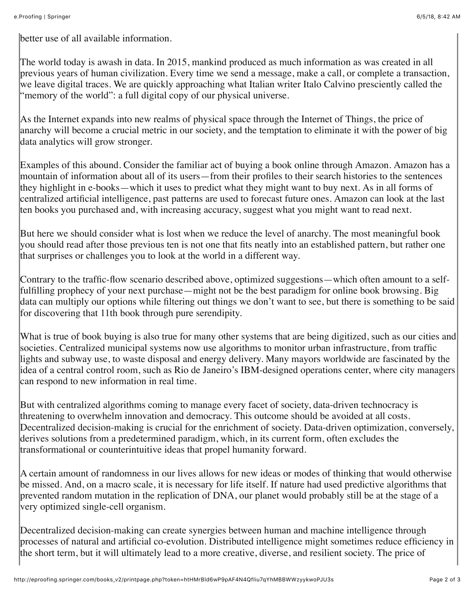better use of all available information.

The world today is awash in data. In 2015, mankind produced as much information as was created in all previous years of human civilization. Every time we send a message, make a call, or complete a transaction, we leave digital traces. We are quickly approaching what Italian writer Italo Calvino presciently called the "memory of the world": a full digital copy of our physical universe.

As the Internet expands into new realms of physical space through the Internet of Things, the price of anarchy will become a crucial metric in our society, and the temptation to eliminate it with the power of big data analytics will grow stronger.

Examples of this abound. Consider the familiar act of buying a book online through Amazon. Amazon has a mountain of information about all of its users—from their profiles to their search histories to the sentences they highlight in e-books—which it uses to predict what they might want to buy next. As in all forms of centralized artificial intelligence, past patterns are used to forecast future ones. Amazon can look at the last ten books you purchased and, with increasing accuracy, suggest what you might want to read next.

But here we should consider what is lost when we reduce the level of anarchy. The most meaningful book you should read after those previous ten is not one that fits neatly into an established pattern, but rather one that surprises or challenges you to look at the world in a different way.

Contrary to the traffic-flow scenario described above, optimized suggestions—which often amount to a selffulfilling prophecy of your next purchase—might not be the best paradigm for online book browsing. Big data can multiply our options while filtering out things we don't want to see, but there is something to be said for discovering that 11th book through pure serendipity.

What is true of book buying is also true for many other systems that are being digitized, such as our cities and societies. Centralized municipal systems now use algorithms to monitor urban infrastructure, from traffic lights and subway use, to waste disposal and energy delivery. Many mayors worldwide are fascinated by the idea of a central control room, such as Rio de Janeiro's IBM-designed operations center, where city managers can respond to new information in real time.

But with centralized algorithms coming to manage every facet of society, data-driven technocracy is threatening to overwhelm innovation and democracy. This outcome should be avoided at all costs. Decentralized decision-making is crucial for the enrichment of society. Data-driven optimization, conversely, derives solutions from a predetermined paradigm, which, in its current form, often excludes the transformational or counterintuitive ideas that propel humanity forward.

A certain amount of randomness in our lives allows for new ideas or modes of thinking that would otherwise be missed. And, on a macro scale, it is necessary for life itself. If nature had used predictive algorithms that prevented random mutation in the replication of DNA, our planet would probably still be at the stage of a very optimized single-cell organism.

Decentralized decision-making can create synergies between human and machine intelligence through processes of natural and artificial co-evolution. Distributed intelligence might sometimes reduce efficiency in the short term, but it will ultimately lead to a more creative, diverse, and resilient society. The price of